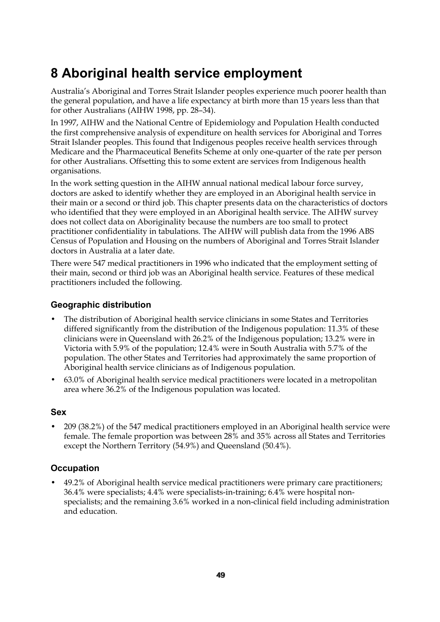# **8 Aboriginal health service employment**

Australia's Aboriginal and Torres Strait Islander peoples experience much poorer health than the general population, and have a life expectancy at birth more than 15 years less than that for other Australians (AIHW 1998, pp. 28–34).

In 1997, AIHW and the National Centre of Epidemiology and Population Health conducted the first comprehensive analysis of expenditure on health services for Aboriginal and Torres Strait Islander peoples. This found that Indigenous peoples receive health services through Medicare and the Pharmaceutical Benefits Scheme at only one-quarter of the rate per person for other Australians. Offsetting this to some extent are services from Indigenous health organisations.

In the work setting question in the AIHW annual national medical labour force survey, doctors are asked to identify whether they are employed in an Aboriginal health service in their main or a second or third job. This chapter presents data on the characteristics of doctors who identified that they were employed in an Aboriginal health service. The AIHW survey does not collect data on Aboriginality because the numbers are too small to protect practitioner confidentiality in tabulations. The AIHW will publish data from the 1996 ABS Census of Population and Housing on the numbers of Aboriginal and Torres Strait Islander doctors in Australia at a later date.

There were 547 medical practitioners in 1996 who indicated that the employment setting of their main, second or third job was an Aboriginal health service. Features of these medical practitioners included the following.

#### **Geographic distribution**

- The distribution of Aboriginal health service clinicians in some States and Territories differed significantly from the distribution of the Indigenous population: 11.3% of these clinicians were in Queensland with 26.2% of the Indigenous population; 13.2% were in Victoria with 5.9% of the population; 12.4% were in South Australia with 5.7% of the population. The other States and Territories had approximately the same proportion of Aboriginal health service clinicians as of Indigenous population.
- 63.0% of Aboriginal health service medical practitioners were located in a metropolitan area where 36.2% of the Indigenous population was located.

#### **Sex**

• 209 (38.2%) of the 547 medical practitioners employed in an Aboriginal health service were female. The female proportion was between 28% and 35% across all States and Territories except the Northern Territory (54.9%) and Queensland (50.4%).

#### **Occupation**

• 49.2% of Aboriginal health service medical practitioners were primary care practitioners; 36.4% were specialists; 4.4% were specialists-in-training; 6.4% were hospital nonspecialists; and the remaining 3.6% worked in a non-clinical field including administration and education.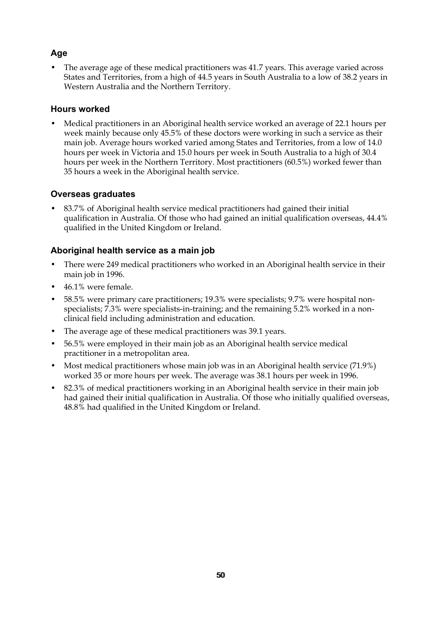## **Age**

• The average age of these medical practitioners was 41.7 years. This average varied across States and Territories, from a high of 44.5 years in South Australia to a low of 38.2 years in Western Australia and the Northern Territory.

#### **Hours worked**

• Medical practitioners in an Aboriginal health service worked an average of 22.1 hours per week mainly because only 45.5% of these doctors were working in such a service as their main job. Average hours worked varied among States and Territories, from a low of 14.0 hours per week in Victoria and 15.0 hours per week in South Australia to a high of 30.4 hours per week in the Northern Territory. Most practitioners (60.5%) worked fewer than 35 hours a week in the Aboriginal health service.

## **Overseas graduates**

• 83.7% of Aboriginal health service medical practitioners had gained their initial qualification in Australia. Of those who had gained an initial qualification overseas, 44.4% qualified in the United Kingdom or Ireland.

## **Aboriginal health service as a main job**

- There were 249 medical practitioners who worked in an Aboriginal health service in their main job in 1996.
- 46.1% were female.
- 58.5% were primary care practitioners; 19.3% were specialists; 9.7% were hospital nonspecialists; 7.3% were specialists-in-training; and the remaining 5.2% worked in a nonclinical field including administration and education.
- The average age of these medical practitioners was 39.1 years.
- 56.5% were employed in their main job as an Aboriginal health service medical practitioner in a metropolitan area.
- Most medical practitioners whose main job was in an Aboriginal health service (71.9%) worked 35 or more hours per week. The average was 38.1 hours per week in 1996.
- 82.3% of medical practitioners working in an Aboriginal health service in their main job had gained their initial qualification in Australia. Of those who initially qualified overseas, 48.8% had qualified in the United Kingdom or Ireland.